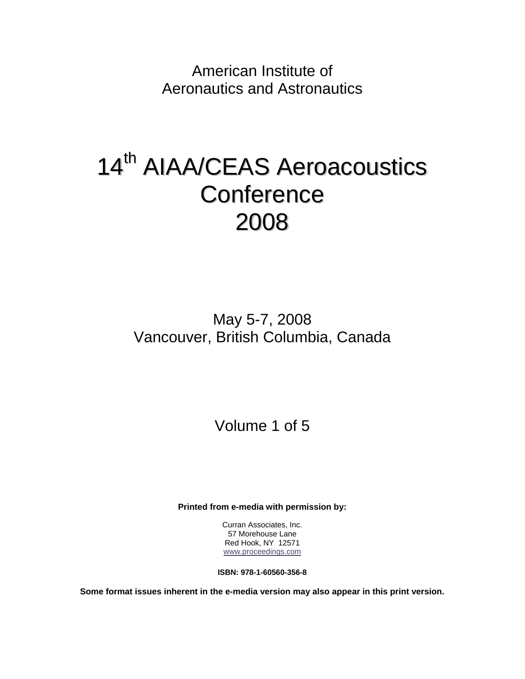American Institute of Aeronautics and Astronautics

# 14<sup>th</sup> AIAA/CEAS Aeroacoustics **Conference** 2008

May 5-7, 2008 Vancouver, British Columbia, Canada

Volume 1 of 5

**Printed from e-media with permission by:** 

Curran Associates, Inc. 57 Morehouse Lane Red Hook, NY 12571 www.proceedings.com

**ISBN: 978-1-60560-356-8** 

**Some format issues inherent in the e-media version may also appear in this print version.**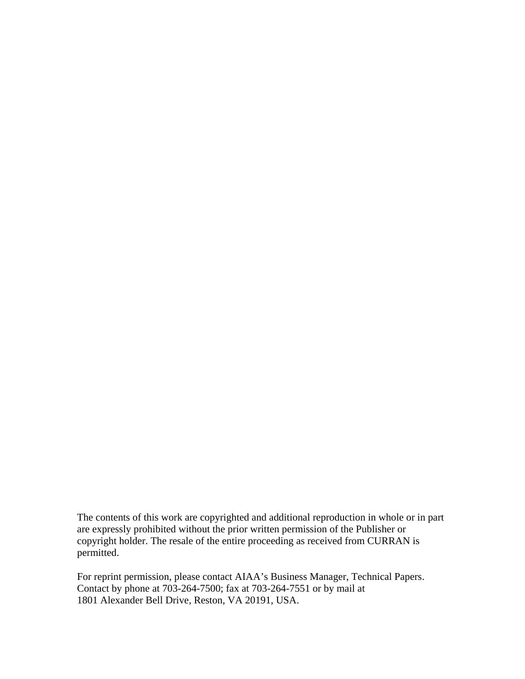The contents of this work are copyrighted and additional reproduction in whole or in part are expressly prohibited without the prior written permission of the Publisher or copyright holder. The resale of the entire proceeding as received from CURRAN is permitted.

For reprint permission, please contact AIAA's Business Manager, Technical Papers. Contact by phone at 703-264-7500; fax at 703-264-7551 or by mail at 1801 Alexander Bell Drive, Reston, VA 20191, USA.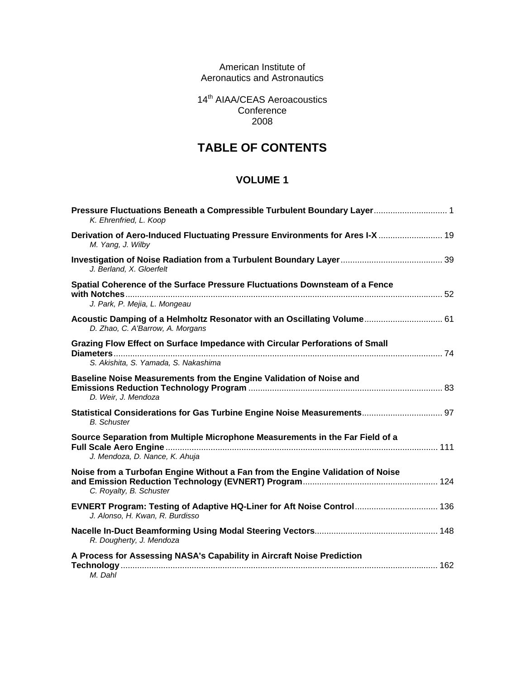American Institute of Aeronautics and Astronautics

14<sup>th</sup> AIAA/CEAS Aeroacoustics **Conference** 2008

# **TABLE OF CONTENTS**

| Pressure Fluctuations Beneath a Compressible Turbulent Boundary Layer 1<br>K. Ehrenfried, L. Koop                    |  |
|----------------------------------------------------------------------------------------------------------------------|--|
| Derivation of Aero-Induced Fluctuating Pressure Environments for Ares I-X  19<br>M. Yang, J. Wilby                   |  |
| J. Berland, X. Gloerfelt                                                                                             |  |
| Spatial Coherence of the Surface Pressure Fluctuations Downsteam of a Fence<br>J. Park, P. Mejia, L. Mongeau         |  |
| Acoustic Damping of a Helmholtz Resonator with an Oscillating Volume 61<br>D. Zhao, C. A'Barrow, A. Morgans          |  |
| Grazing Flow Effect on Surface Impedance with Circular Perforations of Small<br>S. Akishita, S. Yamada, S. Nakashima |  |
| Baseline Noise Measurements from the Engine Validation of Noise and<br>D. Weir, J. Mendoza                           |  |
| Statistical Considerations for Gas Turbine Engine Noise Measurements 97<br><b>B.</b> Schuster                        |  |
| Source Separation from Multiple Microphone Measurements in the Far Field of a<br>J. Mendoza, D. Nance, K. Ahuja      |  |
| Noise from a Turbofan Engine Without a Fan from the Engine Validation of Noise<br>C. Royalty, B. Schuster            |  |
| EVNERT Program: Testing of Adaptive HQ-Liner for Aft Noise Control 136<br>J. Alonso, H. Kwan, R. Burdisso            |  |
| R. Dougherty, J. Mendoza                                                                                             |  |
| A Process for Assessing NASA's Capability in Aircraft Noise Prediction<br>M. Dahl                                    |  |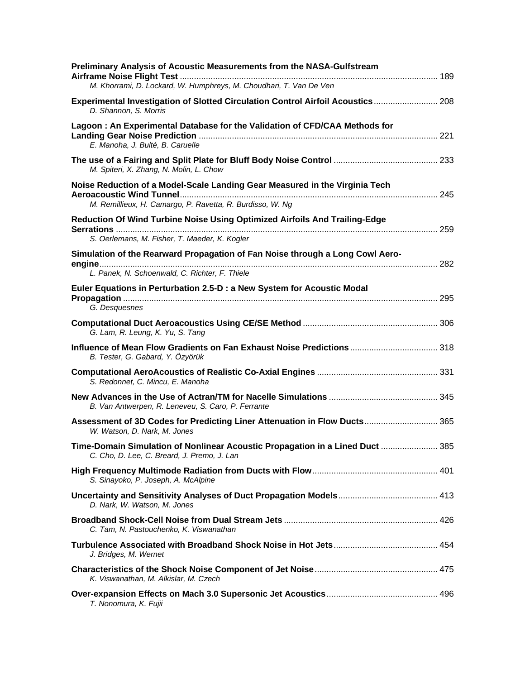| Preliminary Analysis of Acoustic Measurements from the NASA-Gulfstream<br>M. Khorrami, D. Lockard, W. Humphreys, M. Choudhari, T. Van De Ven |  |
|----------------------------------------------------------------------------------------------------------------------------------------------|--|
| Experimental Investigation of Slotted Circulation Control Airfoil Acoustics 208<br>D. Shannon, S. Morris                                     |  |
| Lagoon: An Experimental Database for the Validation of CFD/CAA Methods for<br>E. Manoha, J. Bulté, B. Caruelle                               |  |
| M. Spiteri, X. Zhang, N. Molin, L. Chow                                                                                                      |  |
| Noise Reduction of a Model-Scale Landing Gear Measured in the Virginia Tech<br>M. Remillieux, H. Camargo, P. Ravetta, R. Burdisso, W. Ng     |  |
| Reduction Of Wind Turbine Noise Using Optimized Airfoils And Trailing-Edge<br>S. Oerlemans, M. Fisher, T. Maeder, K. Kogler                  |  |
| Simulation of the Rearward Propagation of Fan Noise through a Long Cowl Aero-<br>L. Panek, N. Schoenwald, C. Richter, F. Thiele              |  |
| Euler Equations in Perturbation 2.5-D : a New System for Acoustic Modal<br>G. Desquesnes                                                     |  |
| G. Lam, R. Leung, K. Yu, S. Tang                                                                                                             |  |
| Influence of Mean Flow Gradients on Fan Exhaust Noise Predictions 318<br>B. Tester, G. Gabard, Y. Özyörük                                    |  |
| S. Redonnet, C. Mincu, E. Manoha                                                                                                             |  |
| B. Van Antwerpen, R. Leneveu, S. Caro, P. Ferrante                                                                                           |  |
| Assessment of 3D Codes for Predicting Liner Attenuation in Flow Ducts 365<br>W. Watson, D. Nark, M. Jones                                    |  |
| Time-Domain Simulation of Nonlinear Acoustic Propagation in a Lined Duct  385<br>C. Cho, D. Lee, C. Breard, J. Premo, J. Lan                 |  |
| S. Sinayoko, P. Joseph, A. McAlpine                                                                                                          |  |
| D. Nark, W. Watson, M. Jones                                                                                                                 |  |
| C. Tam, N. Pastouchenko, K. Viswanathan                                                                                                      |  |
| J. Bridges, M. Wernet                                                                                                                        |  |
| K. Viswanathan, M. Alkislar, M. Czech                                                                                                        |  |
| T. Nonomura, K. Fujii                                                                                                                        |  |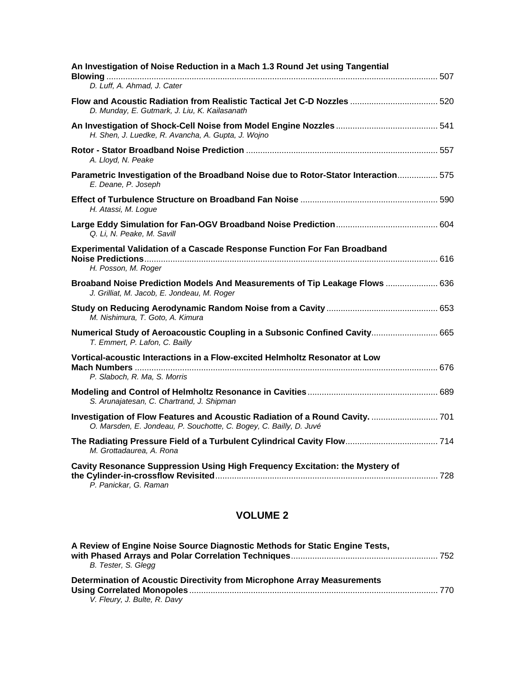| An Investigation of Noise Reduction in a Mach 1.3 Round Jet using Tangential                                                                        |  |
|-----------------------------------------------------------------------------------------------------------------------------------------------------|--|
| D. Luff, A. Ahmad, J. Cater                                                                                                                         |  |
| Flow and Acoustic Radiation from Realistic Tactical Jet C-D Nozzles  520<br>D. Munday, E. Gutmark, J. Liu, K. Kailasanath                           |  |
| H. Shen, J. Luedke, R. Avancha, A. Gupta, J. Wojno                                                                                                  |  |
| A. Lloyd, N. Peake                                                                                                                                  |  |
| Parametric Investigation of the Broadband Noise due to Rotor-Stator Interaction 575<br>E. Deane, P. Joseph                                          |  |
| H. Atassi, M. Logue                                                                                                                                 |  |
| Q. Li, N. Peake, M. Savill                                                                                                                          |  |
| <b>Experimental Validation of a Cascade Response Function For Fan Broadband</b><br>H. Posson, M. Roger                                              |  |
| Broaband Noise Prediction Models And Measurements of Tip Leakage Flows  636<br>J. Grilliat, M. Jacob, E. Jondeau, M. Roger                          |  |
| M. Nishimura, T. Goto, A. Kimura                                                                                                                    |  |
| Numerical Study of Aeroacoustic Coupling in a Subsonic Confined Cavity 665<br>T. Emmert, P. Lafon, C. Bailly                                        |  |
| Vortical-acoustic Interactions in a Flow-excited Helmholtz Resonator at Low<br>P. Slaboch, R. Ma, S. Morris                                         |  |
| S. Arunajatesan, C. Chartrand, J. Shipman                                                                                                           |  |
| Investigation of Flow Features and Acoustic Radiation of a Round Cavity.  701<br>O. Marsden, E. Jondeau, P. Souchotte, C. Bogey, C. Bailly, D. Juvé |  |
| M. Grottadaurea, A. Rona                                                                                                                            |  |
| Cavity Resonance Suppression Using High Frequency Excitation: the Mystery of<br>P. Panickar, G. Raman                                               |  |

| A Review of Engine Noise Source Diagnostic Methods for Static Engine Tests, |       |
|-----------------------------------------------------------------------------|-------|
| B. Tester, S. Glegg                                                         |       |
| Determination of Acoustic Directivity from Microphone Array Measurements    |       |
|                                                                             | - 770 |
| V. Fleury, J. Bulte, R. Davy                                                |       |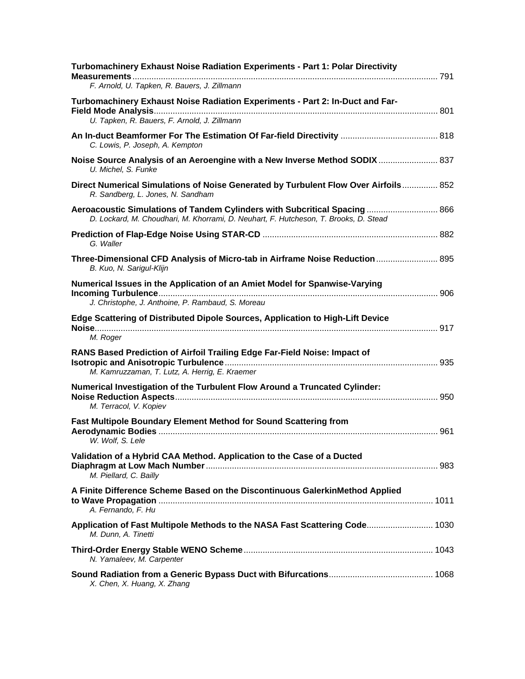| Turbomachinery Exhaust Noise Radiation Experiments - Part 1: Polar Directivity<br>F. Arnold, U. Tapken, R. Bauers, J. Zillmann                                     |  |
|--------------------------------------------------------------------------------------------------------------------------------------------------------------------|--|
| Turbomachinery Exhaust Noise Radiation Experiments - Part 2: In-Duct and Far-<br>U. Tapken, R. Bauers, F. Arnold, J. Zillmann                                      |  |
| C. Lowis, P. Joseph, A. Kempton                                                                                                                                    |  |
| Noise Source Analysis of an Aeroengine with a New Inverse Method SODIX  837<br>U. Michel, S. Funke                                                                 |  |
| Direct Numerical Simulations of Noise Generated by Turbulent Flow Over Airfoils 852<br>R. Sandberg, L. Jones, N. Sandham                                           |  |
| Aeroacoustic Simulations of Tandem Cylinders with Subcritical Spacing  866<br>D. Lockard, M. Choudhari, M. Khorrami, D. Neuhart, F. Hutcheson, T. Brooks, D. Stead |  |
| G. Waller                                                                                                                                                          |  |
| Three-Dimensional CFD Analysis of Micro-tab in Airframe Noise Reduction  895<br>B. Kuo, N. Sarigul-Klijn                                                           |  |
| Numerical Issues in the Application of an Amiet Model for Spanwise-Varying<br>J. Christophe, J. Anthoine, P. Rambaud, S. Moreau                                    |  |
| Edge Scattering of Distributed Dipole Sources, Application to High-Lift Device<br>M. Roger                                                                         |  |
| RANS Based Prediction of Airfoil Trailing Edge Far-Field Noise: Impact of<br>M. Kamruzzaman, T. Lutz, A. Herrig, E. Kraemer                                        |  |
| Numerical Investigation of the Turbulent Flow Around a Truncated Cylinder:<br>M. Terracol, V. Kopiev                                                               |  |
| Fast Multipole Boundary Element Method for Sound Scattering from<br>W. Wolf, S. Lele                                                                               |  |
| Validation of a Hybrid CAA Method. Application to the Case of a Ducted<br>M. Piellard, C. Bailly                                                                   |  |
| A Finite Difference Scheme Based on the Discontinuous GalerkinMethod Applied<br>A. Fernando, F. Hu                                                                 |  |
| Application of Fast Multipole Methods to the NASA Fast Scattering Code 1030<br>M. Dunn, A. Tinetti                                                                 |  |
| N. Yamaleev, M. Carpenter                                                                                                                                          |  |
| X. Chen, X. Huang, X. Zhang                                                                                                                                        |  |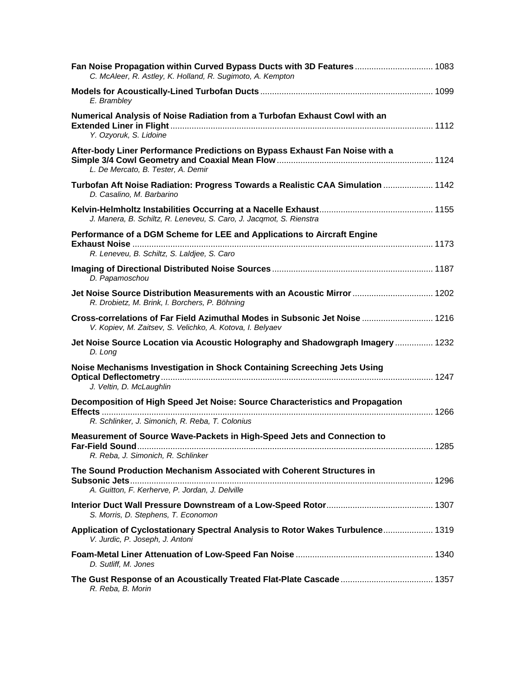| Fan Noise Propagation within Curved Bypass Ducts with 3D Features  1083<br>C. McAleer, R. Astley, K. Holland, R. Sugimoto, A. Kempton    |  |
|------------------------------------------------------------------------------------------------------------------------------------------|--|
| E. Brambley                                                                                                                              |  |
| Numerical Analysis of Noise Radiation from a Turbofan Exhaust Cowl with an<br>Y. Ozyoruk, S. Lidoine                                     |  |
| After-body Liner Performance Predictions on Bypass Exhaust Fan Noise with a<br>L. De Mercato, B. Tester, A. Demir                        |  |
| Turbofan Aft Noise Radiation: Progress Towards a Realistic CAA Simulation  1142<br>D. Casalino, M. Barbarino                             |  |
| J. Manera, B. Schiltz, R. Leneveu, S. Caro, J. Jacqmot, S. Rienstra                                                                      |  |
| Performance of a DGM Scheme for LEE and Applications to Aircraft Engine<br>R. Leneveu, B. Schiltz, S. Laldjee, S. Caro                   |  |
| D. Papamoschou                                                                                                                           |  |
| Jet Noise Source Distribution Measurements with an Acoustic Mirror  1202<br>R. Drobietz, M. Brink, I. Borchers, P. Böhning               |  |
| Cross-correlations of Far Field Azimuthal Modes in Subsonic Jet Noise  1216<br>V. Kopiev, M. Zaitsev, S. Velichko, A. Kotova, I. Belyaev |  |
| Jet Noise Source Location via Acoustic Holography and Shadowgraph Imagery  1232<br>D. Long                                               |  |
| Noise Mechanisms Investigation in Shock Containing Screeching Jets Using<br>J. Veltin, D. McLaughlin                                     |  |
| Decomposition of High Speed Jet Noise: Source Characteristics and Propagation<br>R. Schlinker, J. Simonich, R. Reba, T. Colonius         |  |
| Measurement of Source Wave-Packets in High-Speed Jets and Connection to<br>R. Reba, J. Simonich, R. Schlinker                            |  |
| The Sound Production Mechanism Associated with Coherent Structures in<br>A. Guitton, F. Kerherve, P. Jordan, J. Delville                 |  |
| S. Morris, D. Stephens, T. Economon                                                                                                      |  |
| Application of Cyclostationary Spectral Analysis to Rotor Wakes Turbulence 1319<br>V. Jurdic, P. Joseph, J. Antoni                       |  |
| D. Sutliff, M. Jones                                                                                                                     |  |
| R. Reba, B. Morin                                                                                                                        |  |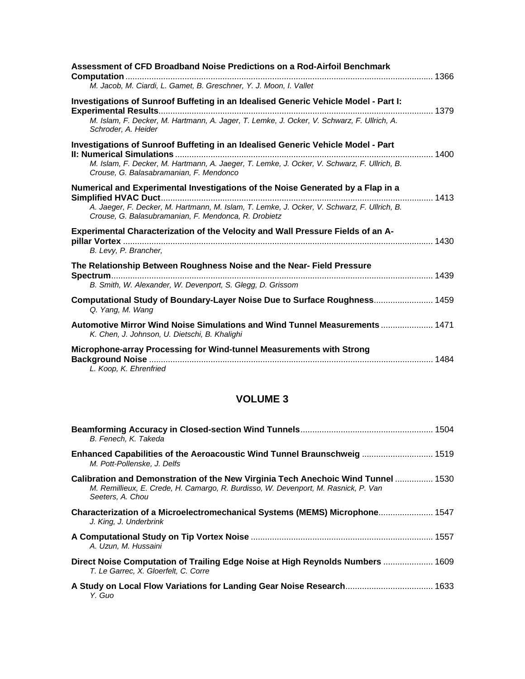| Assessment of CFD Broadband Noise Predictions on a Rod-Airfoil Benchmark                                                                            |  |
|-----------------------------------------------------------------------------------------------------------------------------------------------------|--|
| M. Jacob, M. Ciardi, L. Gamet, B. Greschner, Y. J. Moon, I. Vallet                                                                                  |  |
| Investigations of Sunroof Buffeting in an Idealised Generic Vehicle Model - Part I:                                                                 |  |
| M. Islam, F. Decker, M. Hartmann, A. Jager, T. Lemke, J. Ocker, V. Schwarz, F. Ullrich, A.<br>Schroder, A. Heider                                   |  |
| Investigations of Sunroof Buffeting in an Idealised Generic Vehicle Model - Part                                                                    |  |
| M. Islam, F. Decker, M. Hartmann, A. Jaeger, T. Lemke, J. Ocker, V. Schwarz, F. Ullrich, B.<br>Crouse, G. Balasabramanian, F. Mendonco              |  |
| Numerical and Experimental Investigations of the Noise Generated by a Flap in a                                                                     |  |
| A. Jaeger, F. Decker, M. Hartmann, M. Islam, T. Lemke, J. Ocker, V. Schwarz, F. Ullrich, B.<br>Crouse, G. Balasubramanian, F. Mendonca, R. Drobietz |  |
| Experimental Characterization of the Velocity and Wall Pressure Fields of an A-                                                                     |  |
| B. Levy, P. Brancher,                                                                                                                               |  |
| The Relationship Between Roughness Noise and the Near- Field Pressure                                                                               |  |
| B. Smith, W. Alexander, W. Devenport, S. Glegg, D. Grissom                                                                                          |  |
| Computational Study of Boundary-Layer Noise Due to Surface Roughness 1459<br>Q. Yang, M. Wang                                                       |  |
| Automotive Mirror Wind Noise Simulations and Wind Tunnel Measurements  1471<br>K. Chen, J. Johnson, U. Dietschi, B. Khalighi                        |  |
| Microphone-array Processing for Wind-tunnel Measurements with Strong<br>L. Koop, K. Ehrenfried                                                      |  |

| B. Fenech, K. Takeda                                                                                                                                                                        |  |
|---------------------------------------------------------------------------------------------------------------------------------------------------------------------------------------------|--|
| Enhanced Capabilities of the Aeroacoustic Wind Tunnel Braunschweig  1519<br>M. Pott-Pollenske, J. Delfs                                                                                     |  |
| Calibration and Demonstration of the New Virginia Tech Anechoic Wind Tunnel  1530<br>M. Remillieux, E. Crede, H. Camargo, R. Burdisso, W. Devenport, M. Rasnick, P. Van<br>Seeters, A. Chou |  |
| Characterization of a Microelectromechanical Systems (MEMS) Microphone 1547<br>J. King, J. Underbrink                                                                                       |  |
| A. Uzun, M. Hussaini                                                                                                                                                                        |  |
| Direct Noise Computation of Trailing Edge Noise at High Reynolds Numbers  1609<br>T. Le Garrec, X. Gloerfelt, C. Corre                                                                      |  |
| Y. Guo                                                                                                                                                                                      |  |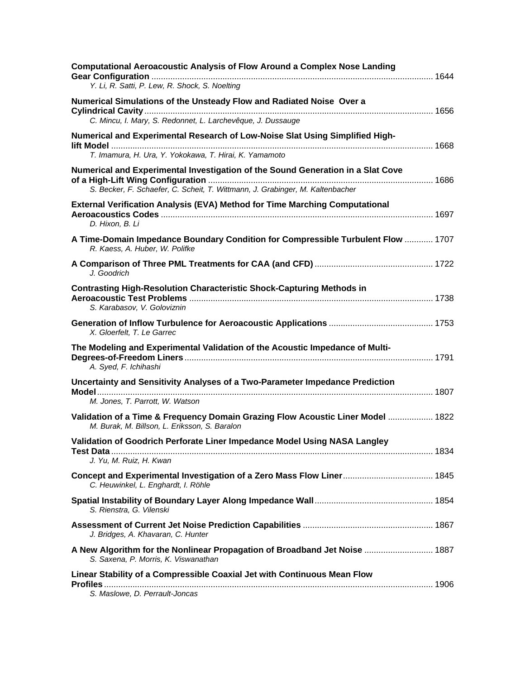| <b>Computational Aeroacoustic Analysis of Flow Around a Complex Nose Landing</b><br>Y. Li, R. Satti, P. Lew, R. Shock, S. Noelting                               |  |
|------------------------------------------------------------------------------------------------------------------------------------------------------------------|--|
|                                                                                                                                                                  |  |
| Numerical Simulations of the Unsteady Flow and Radiated Noise Over a<br>C. Mincu, I. Mary, S. Redonnet, L. Larchevêque, J. Dussauge                              |  |
|                                                                                                                                                                  |  |
| Numerical and Experimental Research of Low-Noise Slat Using Simplified High-<br>T. Imamura, H. Ura, Y. Yokokawa, T. Hirai, K. Yamamoto                           |  |
|                                                                                                                                                                  |  |
| Numerical and Experimental Investigation of the Sound Generation in a Slat Cove<br>S. Becker, F. Schaefer, C. Scheit, T. Wittmann, J. Grabinger, M. Kaltenbacher |  |
| <b>External Verification Analysis (EVA) Method for Time Marching Computational</b><br>D. Hixon, B. Li                                                            |  |
| A Time-Domain Impedance Boundary Condition for Compressible Turbulent Flow  1707<br>R. Kaess, A. Huber, W. Polifke                                               |  |
| J. Goodrich                                                                                                                                                      |  |
| <b>Contrasting High-Resolution Characteristic Shock-Capturing Methods in</b><br>S. Karabasov, V. Goloviznin                                                      |  |
| X. Gloerfelt, T. Le Garrec                                                                                                                                       |  |
| The Modeling and Experimental Validation of the Acoustic Impedance of Multi-<br>A. Syed, F. Ichihashi                                                            |  |
| Uncertainty and Sensitivity Analyses of a Two-Parameter Impedance Prediction<br>M. Jones, T. Parrott, W. Watson                                                  |  |
| Validation of a Time & Frequency Domain Grazing Flow Acoustic Liner Model  1822<br>M. Burak, M. Billson, L. Eriksson, S. Baralon                                 |  |
| Validation of Goodrich Perforate Liner Impedance Model Using NASA Langley<br>J. Yu, M. Ruiz, H. Kwan                                                             |  |
| Concept and Experimental Investigation of a Zero Mass Flow Liner 1845<br>C. Heuwinkel, L. Enghardt, I. Röhle                                                     |  |
| S. Rienstra, G. Vilenski                                                                                                                                         |  |
| J. Bridges, A. Khavaran, C. Hunter                                                                                                                               |  |
| A New Algorithm for the Nonlinear Propagation of Broadband Jet Noise  1887<br>S. Saxena, P. Morris, K. Viswanathan                                               |  |
| Linear Stability of a Compressible Coaxial Jet with Continuous Mean Flow<br>S. Maslowe, D. Perrault-Joncas                                                       |  |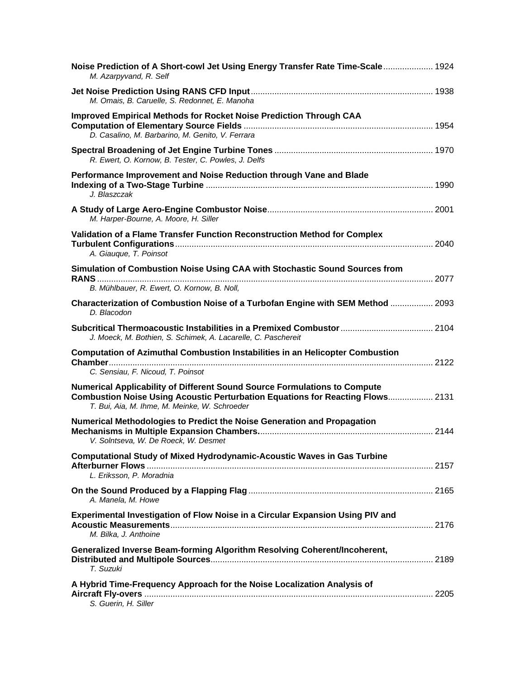| Noise Prediction of A Short-cowl Jet Using Energy Transfer Rate Time-Scale 1924<br>M. Azarpyvand, R. Self                                                                                                    |  |
|--------------------------------------------------------------------------------------------------------------------------------------------------------------------------------------------------------------|--|
| M. Omais, B. Caruelle, S. Redonnet, E. Manoha                                                                                                                                                                |  |
| <b>Improved Empirical Methods for Rocket Noise Prediction Through CAA</b><br>D. Casalino, M. Barbarino, M. Genito, V. Ferrara                                                                                |  |
| R. Ewert, O. Kornow, B. Tester, C. Powles, J. Delfs                                                                                                                                                          |  |
| Performance Improvement and Noise Reduction through Vane and Blade<br>J. Blaszczak                                                                                                                           |  |
| M. Harper-Bourne, A. Moore, H. Siller                                                                                                                                                                        |  |
| Validation of a Flame Transfer Function Reconstruction Method for Complex<br>A. Giauque, T. Poinsot                                                                                                          |  |
| Simulation of Combustion Noise Using CAA with Stochastic Sound Sources from<br>B. Mühlbauer, R. Ewert, O. Kornow, B. Noll,                                                                                   |  |
| Characterization of Combustion Noise of a Turbofan Engine with SEM Method  2093<br>D. Blacodon                                                                                                               |  |
| J. Moeck, M. Bothien, S. Schimek, A. Lacarelle, C. Paschereit                                                                                                                                                |  |
| <b>Computation of Azimuthal Combustion Instabilities in an Helicopter Combustion</b><br>C. Sensiau, F. Nicoud, T. Poinsot                                                                                    |  |
| Numerical Applicability of Different Sound Source Formulations to Compute<br>Combustion Noise Using Acoustic Perturbation Equations for Reacting Flows 2131<br>T. Bui, Aia, M. Ihme, M. Meinke, W. Schroeder |  |
| Numerical Methodologies to Predict the Noise Generation and Propagation<br>V. Solntseva, W. De Roeck, W. Desmet                                                                                              |  |
| <b>Computational Study of Mixed Hydrodynamic-Acoustic Waves in Gas Turbine</b><br>L. Eriksson, P. Moradnia                                                                                                   |  |
| A. Manela, M. Howe                                                                                                                                                                                           |  |
| Experimental Investigation of Flow Noise in a Circular Expansion Using PIV and<br>M. Bilka, J. Anthoine                                                                                                      |  |
| Generalized Inverse Beam-forming Algorithm Resolving Coherent/Incoherent,<br>T. Suzuki                                                                                                                       |  |
| A Hybrid Time-Frequency Approach for the Noise Localization Analysis of<br>S. Guerin, H. Siller                                                                                                              |  |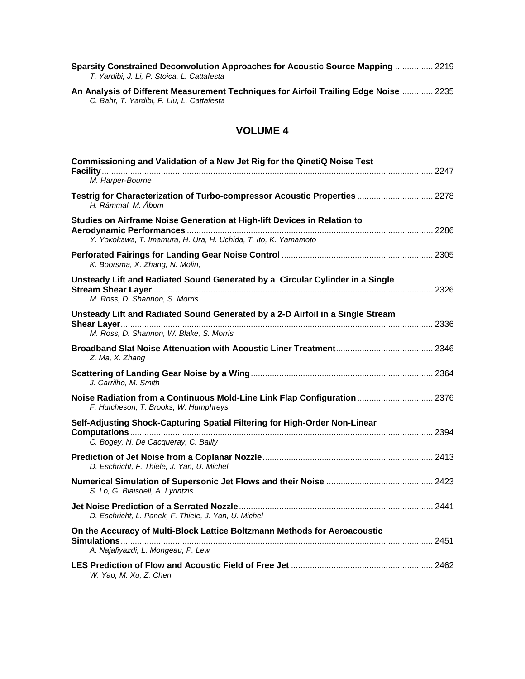| Sparsity Constrained Deconvolution Approaches for Acoustic Source Mapping  2219<br>T. Yardibi, J. Li, P. Stoica, L. Cattafesta     |  |
|------------------------------------------------------------------------------------------------------------------------------------|--|
| An Analysis of Different Measurement Techniques for Airfoil Trailing Edge Noise 2235<br>C. Bahr, T. Yardibi, F. Liu, L. Cattafesta |  |

| Commissioning and Validation of a New Jet Rig for the QinetiQ Noise Test<br>M. Harper-Bourne                                                |  |
|---------------------------------------------------------------------------------------------------------------------------------------------|--|
| Testrig for Characterization of Turbo-compressor Acoustic Properties  2278<br>H. Rämmal, M. Åbom                                            |  |
| Studies on Airframe Noise Generation at High-lift Devices in Relation to<br>Y. Yokokawa, T. Imamura, H. Ura, H. Uchida, T. Ito, K. Yamamoto |  |
| K. Boorsma, X. Zhang, N. Molin,                                                                                                             |  |
| Unsteady Lift and Radiated Sound Generated by a Circular Cylinder in a Single<br>M. Ross, D. Shannon, S. Morris                             |  |
| Unsteady Lift and Radiated Sound Generated by a 2-D Airfoil in a Single Stream<br>M. Ross, D. Shannon, W. Blake, S. Morris                  |  |
| Z. Ma, X. Zhang                                                                                                                             |  |
| J. Carrilho, M. Smith                                                                                                                       |  |
| Noise Radiation from a Continuous Mold-Line Link Flap Configuration  2376<br>F. Hutcheson, T. Brooks, W. Humphreys                          |  |
| Self-Adjusting Shock-Capturing Spatial Filtering for High-Order Non-Linear<br>C. Bogey, N. De Cacqueray, C. Bailly                          |  |
| D. Eschricht, F. Thiele, J. Yan, U. Michel                                                                                                  |  |
| S. Lo, G. Blaisdell, A. Lyrintzis                                                                                                           |  |
| D. Eschricht, L. Panek, F. Thiele, J. Yan, U. Michel                                                                                        |  |
| On the Accuracy of Multi-Block Lattice Boltzmann Methods for Aeroacoustic<br>A. Najafiyazdi, L. Mongeau, P. Lew                             |  |
| W. Yao, M. Xu, Z. Chen                                                                                                                      |  |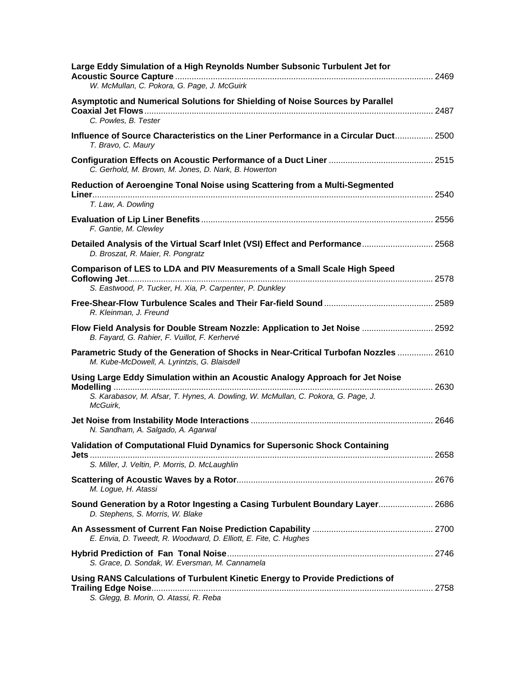| Large Eddy Simulation of a High Reynolds Number Subsonic Turbulent Jet for<br>W. McMullan, C. Pokora, G. Page, J. McGuirk                                                      |  |
|--------------------------------------------------------------------------------------------------------------------------------------------------------------------------------|--|
| Asymptotic and Numerical Solutions for Shielding of Noise Sources by Parallel<br>C. Powles, B. Tester                                                                          |  |
| Influence of Source Characteristics on the Liner Performance in a Circular Duct 2500<br>T. Bravo, C. Maury                                                                     |  |
| C. Gerhold, M. Brown, M. Jones, D. Nark, B. Howerton                                                                                                                           |  |
| Reduction of Aeroengine Tonal Noise using Scattering from a Multi-Segmented<br>T. Law, A. Dowling                                                                              |  |
| F. Gantie, M. Clewley                                                                                                                                                          |  |
| Detailed Analysis of the Virtual Scarf Inlet (VSI) Effect and Performance 2568<br>D. Broszat, R. Maier, R. Pongratz                                                            |  |
| <b>Comparison of LES to LDA and PIV Measurements of a Small Scale High Speed</b><br>S. Eastwood, P. Tucker, H. Xia, P. Carpenter, P. Dunkley                                   |  |
| R. Kleinman, J. Freund                                                                                                                                                         |  |
| Flow Field Analysis for Double Stream Nozzle: Application to Jet Noise  2592<br>B. Fayard, G. Rahier, F. Vuillot, F. Kerhervé                                                  |  |
| Parametric Study of the Generation of Shocks in Near-Critical Turbofan Nozzles  2610<br>M. Kube-McDowell, A. Lyrintzis, G. Blaisdell                                           |  |
| Using Large Eddy Simulation within an Acoustic Analogy Approach for Jet Noise<br>S. Karabasov, M. Afsar, T. Hynes, A. Dowling, W. McMullan, C. Pokora, G. Page, J.<br>McGuirk, |  |
| N. Sandham, A. Salgado, A. Agarwal                                                                                                                                             |  |
| Validation of Computational Fluid Dynamics for Supersonic Shock Containing                                                                                                     |  |
| S. Miller, J. Veltin, P. Morris, D. McLaughlin                                                                                                                                 |  |
| M. Logue, H. Atassi                                                                                                                                                            |  |
| Sound Generation by a Rotor Ingesting a Casing Turbulent Boundary Layer 2686<br>D. Stephens, S. Morris, W. Blake                                                               |  |
| E. Envia, D. Tweedt, R. Woodward, D. Elliott, E. Fite, C. Hughes                                                                                                               |  |
| S. Grace, D. Sondak, W. Eversman, M. Cannamela                                                                                                                                 |  |
| Using RANS Calculations of Turbulent Kinetic Energy to Provide Predictions of<br>S. Glegg, B. Morin, O. Atassi, R. Reba                                                        |  |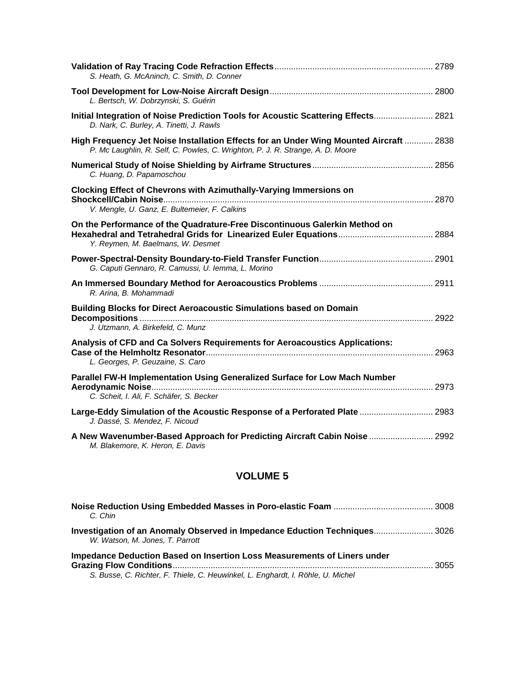| S. Heath, G. McAninch, C. Smith, D. Conner                                                                                                                               |  |
|--------------------------------------------------------------------------------------------------------------------------------------------------------------------------|--|
| L. Bertsch, W. Dobrzynski, S. Guérin                                                                                                                                     |  |
| Initial Integration of Noise Prediction Tools for Acoustic Scattering Effects 2821<br>D. Nark, C. Burley, A. Tinetti, J. Rawls                                           |  |
| High Frequency Jet Noise Installation Effects for an Under Wing Mounted Aircraft  2838<br>P. Mc Laughlin, R. Self, C. Powles, C. Wrighton, P. J. R. Strange, A. D. Moore |  |
| C. Huang, D. Papamoschou                                                                                                                                                 |  |
| <b>Clocking Effect of Chevrons with Azimuthally-Varying Immersions on</b><br>V. Mengle, U. Ganz, E. Bultemeier, F. Calkins                                               |  |
| On the Performance of the Quadrature-Free Discontinuous Galerkin Method on<br>Y. Reymen, M. Baelmans, W. Desmet                                                          |  |
| G. Caputi Gennaro, R. Camussi, U. Iemma, L. Morino                                                                                                                       |  |
| R. Arina, B. Mohammadi                                                                                                                                                   |  |
| Building Blocks for Direct Aeroacoustic Simulations based on Domain<br>J. Utzmann, A. Birkefeld, C. Munz                                                                 |  |
| Analysis of CFD and Ca Solvers Requirements for Aeroacoustics Applications:<br>L. Georges, P. Geuzaine, S. Caro                                                          |  |
| Parallel FW-H Implementation Using Generalized Surface for Low Mach Number<br>C. Scheit, I. Ali, F. Schäfer, S. Becker                                                   |  |
| Large-Eddy Simulation of the Acoustic Response of a Perforated Plate  2983<br>J. Dassé, S. Mendez, F. Nicoud                                                             |  |
| A New Wavenumber-Based Approach for Predicting Aircraft Cabin Noise  2992<br>M. Blakemore, K. Heron, E. Davis                                                            |  |

| C. Chin                                                                                                       |  |
|---------------------------------------------------------------------------------------------------------------|--|
| Investigation of an Anomaly Observed in Impedance Eduction Techniques 3026<br>W. Watson, M. Jones, T. Parrott |  |
| Impedance Deduction Based on Insertion Loss Measurements of Liners under                                      |  |
| S. Busse, C. Richter, F. Thiele, C. Heuwinkel, L. Enghardt, I. Röhle, U. Michel                               |  |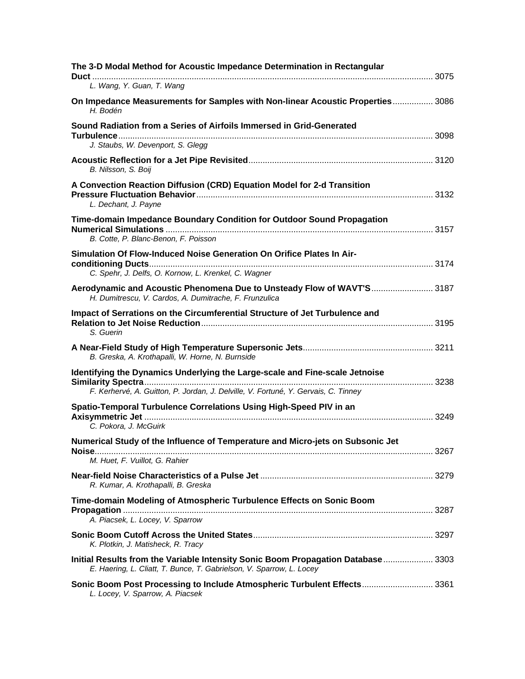| The 3-D Modal Method for Acoustic Impedance Determination in Rectangular                                                                                          |  |
|-------------------------------------------------------------------------------------------------------------------------------------------------------------------|--|
| L. Wang, Y. Guan, T. Wang                                                                                                                                         |  |
| On Impedance Measurements for Samples with Non-linear Acoustic Properties 3086<br>H. Bodén                                                                        |  |
| Sound Radiation from a Series of Airfoils Immersed in Grid-Generated<br>J. Staubs, W. Devenport, S. Glegg                                                         |  |
| B. Nilsson, S. Boij                                                                                                                                               |  |
| A Convection Reaction Diffusion (CRD) Equation Model for 2-d Transition<br>L. Dechant, J. Payne                                                                   |  |
| Time-domain Impedance Boundary Condition for Outdoor Sound Propagation<br>B. Cotte, P. Blanc-Benon, F. Poisson                                                    |  |
| Simulation Of Flow-Induced Noise Generation On Orifice Plates In Air-<br>C. Spehr, J. Delfs, O. Kornow, L. Krenkel, C. Wagner                                     |  |
| Aerodynamic and Acoustic Phenomena Due to Unsteady Flow of WAVT'S 3187<br>H. Dumitrescu, V. Cardos, A. Dumitrache, F. Frunzulica                                  |  |
| Impact of Serrations on the Circumferential Structure of Jet Turbulence and<br>S. Guerin                                                                          |  |
| B. Greska, A. Krothapalli, W. Horne, N. Burnside                                                                                                                  |  |
| Identifying the Dynamics Underlying the Large-scale and Fine-scale Jetnoise<br>F. Kerhervé, A. Guitton, P. Jordan, J. Delville, V. Fortuné, Y. Gervais, C. Tinney |  |
| Spatio-Temporal Turbulence Correlations Using High-Speed PIV in an<br>C. Pokora, J. McGuirk                                                                       |  |
| Numerical Study of the Influence of Temperature and Micro-jets on Subsonic Jet<br>M. Huet, F. Vuillot, G. Rahier                                                  |  |
| R. Kumar, A. Krothapalli, B. Greska                                                                                                                               |  |
| Time-domain Modeling of Atmospheric Turbulence Effects on Sonic Boom<br>A. Piacsek, L. Locey, V. Sparrow                                                          |  |
| K. Plotkin, J. Matisheck, R. Tracy                                                                                                                                |  |
| Initial Results from the Variable Intensity Sonic Boom Propagation Database 3303<br>E. Haering, L. Cliatt, T. Bunce, T. Gabrielson, V. Sparrow, L. Locey          |  |
| Sonic Boom Post Processing to Include Atmospheric Turbulent Effects 3361<br>L. Locey, V. Sparrow, A. Piacsek                                                      |  |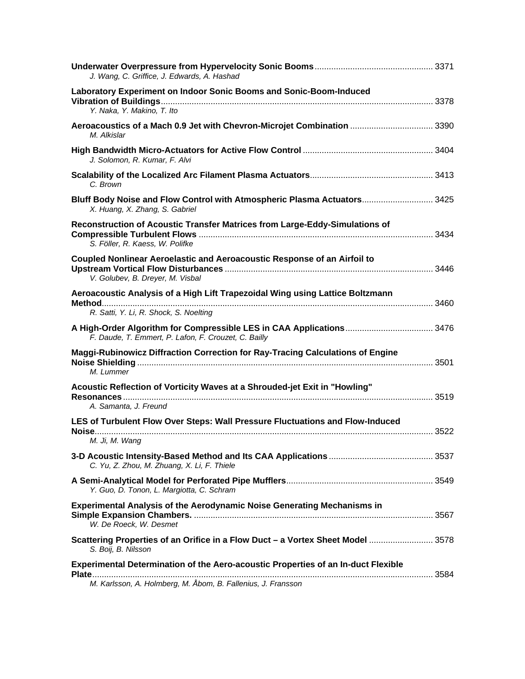| J. Wang, C. Griffice, J. Edwards, A. Hashad                                                                                                       |  |
|---------------------------------------------------------------------------------------------------------------------------------------------------|--|
| Laboratory Experiment on Indoor Sonic Booms and Sonic-Boom-Induced<br>Y. Naka, Y. Makino, T. Ito                                                  |  |
| Aeroacoustics of a Mach 0.9 Jet with Chevron-Microjet Combination  3390<br>M. Alkislar                                                            |  |
| J. Solomon, R. Kumar, F. Alvi                                                                                                                     |  |
| C. Brown                                                                                                                                          |  |
| Bluff Body Noise and Flow Control with Atmospheric Plasma Actuators 3425<br>X. Huang, X. Zhang, S. Gabriel                                        |  |
| Reconstruction of Acoustic Transfer Matrices from Large-Eddy-Simulations of<br>S. Föller, R. Kaess, W. Polifke                                    |  |
| Coupled Nonlinear Aeroelastic and Aeroacoustic Response of an Airfoil to<br>V. Golubev, B. Dreyer, M. Visbal                                      |  |
| Aeroacoustic Analysis of a High Lift Trapezoidal Wing using Lattice Boltzmann<br><b>Method</b><br>R. Satti, Y. Li, R. Shock, S. Noelting          |  |
| A High-Order Algorithm for Compressible LES in CAA Applications 3476<br>F. Daude, T. Emmert, P. Lafon, F. Crouzet, C. Bailly                      |  |
| Maggi-Rubinowicz Diffraction Correction for Ray-Tracing Calculations of Engine<br>M. Lummer                                                       |  |
| Acoustic Reflection of Vorticity Waves at a Shrouded-jet Exit in "Howling"<br>A. Samanta, J. Freund                                               |  |
| LES of Turbulent Flow Over Steps: Wall Pressure Fluctuations and Flow-Induced<br>M. Ji, M. Wang                                                   |  |
| C. Yu, Z. Zhou, M. Zhuang, X. Li, F. Thiele                                                                                                       |  |
| Y. Guo, D. Tonon, L. Margiotta, C. Schram                                                                                                         |  |
| <b>Experimental Analysis of the Aerodynamic Noise Generating Mechanisms in</b><br>W. De Roeck, W. Desmet                                          |  |
| Scattering Properties of an Orifice in a Flow Duct - a Vortex Sheet Model  3578<br>S. Boij, B. Nilsson                                            |  |
| Experimental Determination of the Aero-acoustic Properties of an In-duct Flexible<br>M. Karlsson, A. Holmberg, M. Åbom, B. Fallenius, J. Fransson |  |